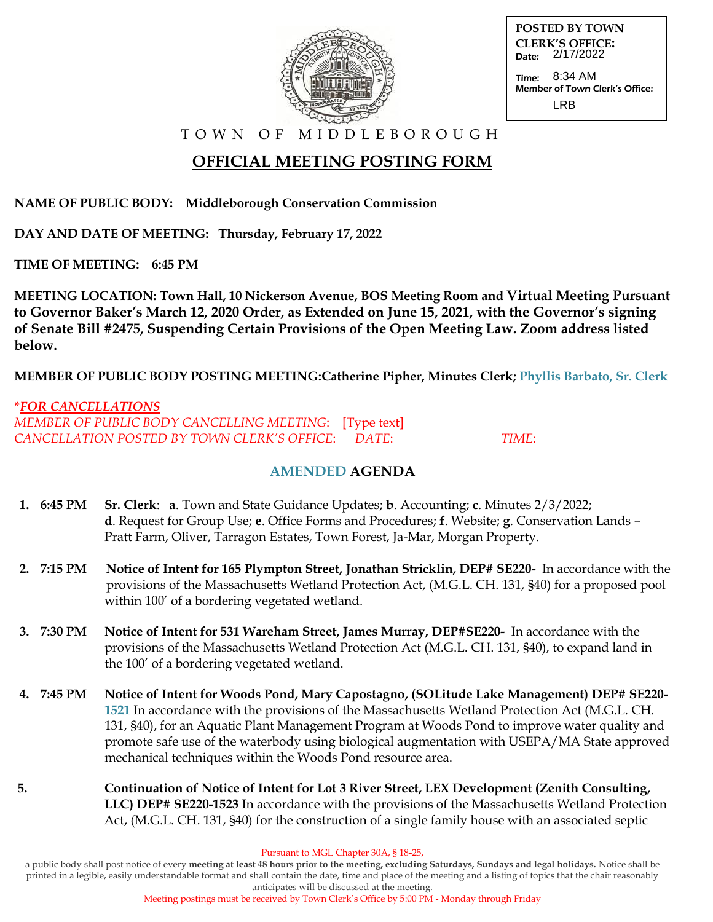

| <b>POSTED BY TOWN</b>                     |
|-------------------------------------------|
| <b>CLERK'S OFFICE:</b><br>Date: 2/17/2022 |
| Time: 8:34 AM                             |
| Member of Town Clerk's Office:            |
| I RR                                      |

T O W N O F M I D D L E B O R O U G H

# **OFFICIAL MEETING POSTING FORM**

**NAME OF PUBLIC BODY: Middleborough Conservation Commission**

**DAY AND DATE OF MEETING: Thursday, February 17, 2022**

**TIME OF MEETING: 6:45 PM**

**MEETING LOCATION: Town Hall, 10 Nickerson Avenue, BOS Meeting Room and Virtual Meeting Pursuant to Governor Baker's March 12, 2020 Order, as Extended on June 15, 2021, with the Governor's signing of Senate Bill #2475, Suspending Certain Provisions of the Open Meeting Law. Zoom address listed below.**

**MEMBER OF PUBLIC BODY POSTING MEETING:Catherine Pipher, Minutes Clerk; Phyllis Barbato, Sr. Clerk**

#### **\****FOR CANCELLATIONS*

*MEMBER OF PUBLIC BODY CANCELLING MEETING*: [Type text] *CANCELLATION POSTED BY TOWN CLERK'S OFFICE*: *DATE*: *TIME*:

### **AMENDED AGENDA**

- **1. 6:45 PM Sr. Clerk**: **a**. Town and State Guidance Updates; **b**. Accounting; **c**. Minutes 2/3/2022;  **d**. Request for Group Use; **e**. Office Forms and Procedures; **f**. Website; **g**. Conservation Lands – Pratt Farm, Oliver, Tarragon Estates, Town Forest, Ja-Mar, Morgan Property.
- **2. 7:15 PM Notice of Intent for 165 Plympton Street, Jonathan Stricklin, DEP# SE220-** In accordance with the provisions of the Massachusetts Wetland Protection Act, (M.G.L. CH. 131, §40) for a proposed pool within 100' of a bordering vegetated wetland.
- **3. 7:30 PM Notice of Intent for 531 Wareham Street, James Murray, DEP#SE220-** In accordance with theprovisions of the Massachusetts Wetland Protection Act (M.G.L. CH. 131, §40), to expand land in the 100' of a bordering vegetated wetland.
- **4. 7:45 PM Notice of Intent for Woods Pond, Mary Capostagno, (SOLitude Lake Management) DEP# SE220- 1521** In accordance with the provisions of the Massachusetts Wetland Protection Act (M.G.L. CH. 131, §40), for an Aquatic Plant Management Program at Woods Pond to improve water quality and promote safe use of the waterbody using biological augmentation with USEPA/MA State approved mechanical techniques within the Woods Pond resource area.
- **5. Continuation of Notice of Intent for Lot 3 River Street, LEX Development (Zenith Consulting, LLC) DEP# SE220-1523** In accordance with the provisions of the Massachusetts Wetland Protection Act, (M.G.L. CH. 131, §40) for the construction of a single family house with an associated septic

Pursuant to MGL Chapter 30A, § 18-25,

a public body shall post notice of every **meeting at least 48 hours prior to the meeting, excluding Saturdays, Sundays and legal holidays.** Notice shall be printed in a legible, easily understandable format and shall contain the date, time and place of the meeting and a listing of topics that the chair reasonably anticipates will be discussed at the meeting.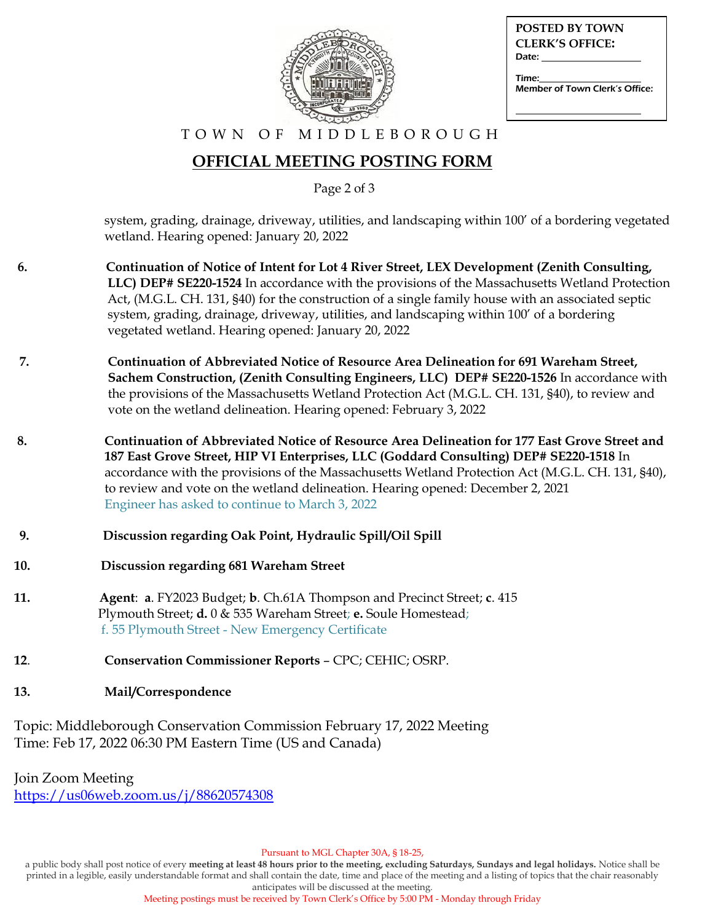

| <b>POSTED BY TOWN</b>                   |
|-----------------------------------------|
| <b>CLERK'S OFFICE:</b>                  |
| Date:                                   |
| Time:<br>Member of Town Clerk's Office: |
|                                         |

#### T O W N O F M I D D L E B O R O U G H

## **OFFICIAL MEETING POSTING FORM**

Page 2 of 3

 system, grading, drainage, driveway, utilities, and landscaping within 100' of a bordering vegetated wetland. Hearing opened: January 20, 2022

- **6. Continuation of Notice of Intent for Lot 4 River Street, LEX Development (Zenith Consulting, LLC) DEP# SE220-1524** In accordance with the provisions of the Massachusetts Wetland Protection Act, (M.G.L. CH. 131, §40) for the construction of a single family house with an associated septic system, grading, drainage, driveway, utilities, and landscaping within 100' of a bordering vegetated wetland. Hearing opened: January 20, 2022
- **7. Continuation of Abbreviated Notice of Resource Area Delineation for 691 Wareham Street, Sachem Construction, (Zenith Consulting Engineers, LLC) DEP# SE220-1526** In accordance with the provisions of the Massachusetts Wetland Protection Act (M.G.L. CH. 131, §40), to review and vote on the wetland delineation. Hearing opened: February 3, 2022
- **8. Continuation of Abbreviated Notice of Resource Area Delineation for 177 East Grove Street and 187 East Grove Street, HIP VI Enterprises, LLC (Goddard Consulting) DEP# SE220-1518** In accordance with the provisions of the Massachusetts Wetland Protection Act (M.G.L. CH. 131, §40), to review and vote on the wetland delineation. Hearing opened: December 2, 2021 Engineer has asked to continue to March 3, 2022
- **9. Discussion regarding Oak Point, Hydraulic Spill/Oil Spill**
- **10. Discussion regarding 681 Wareham Street**
- **11. Agent**: **a**. FY2023 Budget; **b**. Ch.61A Thompson and Precinct Street; **c**. 415 Plymouth Street; **d.** 0 & 535 Wareham Street; **e.** Soule Homestead; f. 55 Plymouth Street - New Emergency Certificate
- **12**. **Conservation Commissioner Reports** CPC; CEHIC; OSRP.
- **13. Mail/Correspondence**

Topic: Middleborough Conservation Commission February 17, 2022 Meeting Time: Feb 17, 2022 06:30 PM Eastern Time (US and Canada)

Join Zoom Meeting <https://us06web.zoom.us/j/88620574308>

Pursuant to MGL Chapter 30A, § 18-25,

a public body shall post notice of every **meeting at least 48 hours prior to the meeting, excluding Saturdays, Sundays and legal holidays.** Notice shall be printed in a legible, easily understandable format and shall contain the date, time and place of the meeting and a listing of topics that the chair reasonably anticipates will be discussed at the meeting.